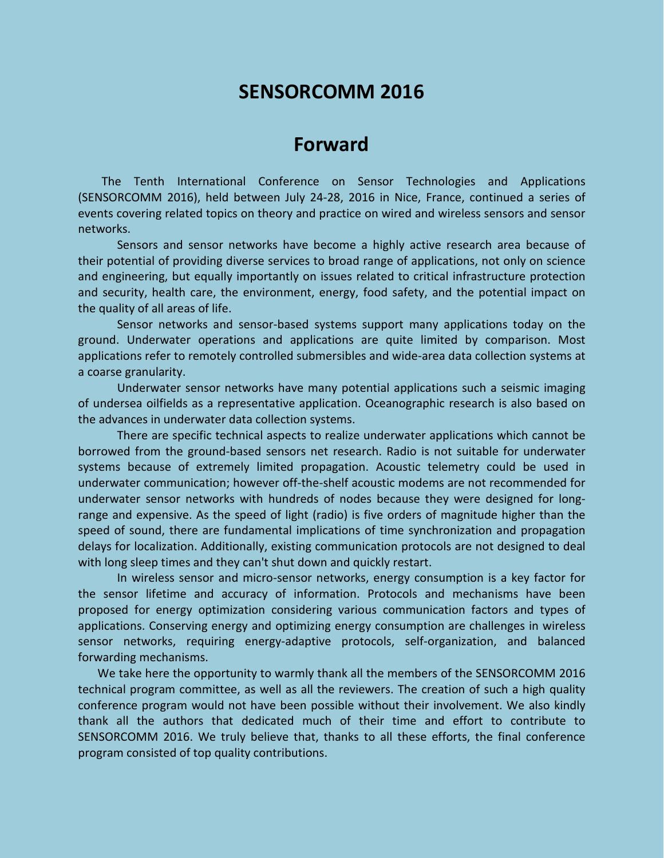# **SENSORCOMM 2016**

# **Forward**

The Tenth International Conference on Sensor Technologies and Applications (SENSORCOMM 2016), held between July 24-28, 2016 in Nice, France, continued a series of events covering related topics on theory and practice on wired and wireless sensors and sensor networks.

Sensors and sensor networks have become a highly active research area because of their potential of providing diverse services to broad range of applications, not only on science and engineering, but equally importantly on issues related to critical infrastructure protection and security, health care, the environment, energy, food safety, and the potential impact on the quality of all areas of life.

Sensor networks and sensor-based systems support many applications today on the ground. Underwater operations and applications are quite limited by comparison. Most applications refer to remotely controlled submersibles and wide-area data collection systems at a coarse granularity.

Underwater sensor networks have many potential applications such a seismic imaging of undersea oilfields as a representative application. Oceanographic research is also based on the advances in underwater data collection systems.

There are specific technical aspects to realize underwater applications which cannot be borrowed from the ground-based sensors net research. Radio is not suitable for underwater systems because of extremely limited propagation. Acoustic telemetry could be used in underwater communication; however off-the-shelf acoustic modems are not recommended for underwater sensor networks with hundreds of nodes because they were designed for longrange and expensive. As the speed of light (radio) is five orders of magnitude higher than the speed of sound, there are fundamental implications of time synchronization and propagation delays for localization. Additionally, existing communication protocols are not designed to deal with long sleep times and they can't shut down and quickly restart.

In wireless sensor and micro-sensor networks, energy consumption is a key factor for the sensor lifetime and accuracy of information. Protocols and mechanisms have been proposed for energy optimization considering various communication factors and types of applications. Conserving energy and optimizing energy consumption are challenges in wireless sensor networks, requiring energy-adaptive protocols, self-organization, and balanced forwarding mechanisms.

We take here the opportunity to warmly thank all the members of the SENSORCOMM 2016 technical program committee, as well as all the reviewers. The creation of such a high quality conference program would not have been possible without their involvement. We also kindly thank all the authors that dedicated much of their time and effort to contribute to SENSORCOMM 2016. We truly believe that, thanks to all these efforts, the final conference program consisted of top quality contributions.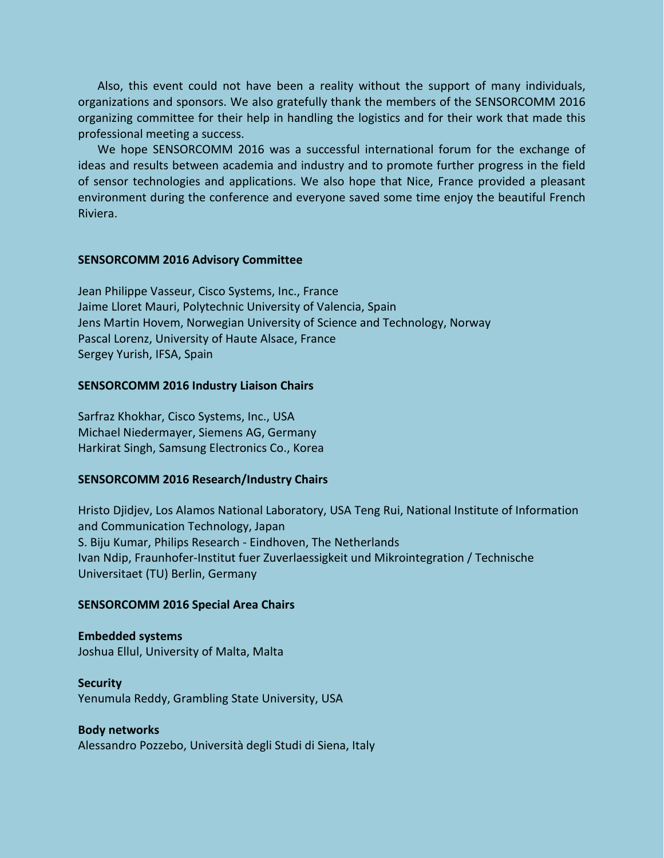Also, this event could not have been a reality without the support of many individuals, organizations and sponsors. We also gratefully thank the members of the SENSORCOMM 2016 organizing committee for their help in handling the logistics and for their work that made this professional meeting a success.

We hope SENSORCOMM 2016 was a successful international forum for the exchange of ideas and results between academia and industry and to promote further progress in the field of sensor technologies and applications. We also hope that Nice, France provided a pleasant environment during the conference and everyone saved some time enjoy the beautiful French Riviera.

#### **SENSORCOMM 2016 Advisory Committee**

Jean Philippe Vasseur, Cisco Systems, Inc., France Jaime Lloret Mauri, Polytechnic University of Valencia, Spain Jens Martin Hovem, Norwegian University of Science and Technology, Norway Pascal Lorenz, University of Haute Alsace, France Sergey Yurish, IFSA, Spain

#### **SENSORCOMM 2016 Industry Liaison Chairs**

Sarfraz Khokhar, Cisco Systems, Inc., USA Michael Niedermayer, Siemens AG, Germany Harkirat Singh, Samsung Electronics Co., Korea

### **SENSORCOMM 2016 Research/Industry Chairs**

Hristo Djidjev, Los Alamos National Laboratory, USA Teng Rui, National Institute of Information and Communication Technology, Japan S. Biju Kumar, Philips Research - Eindhoven, The Netherlands Ivan Ndip, Fraunhofer-Institut fuer Zuverlaessigkeit und Mikrointegration / Technische Universitaet (TU) Berlin, Germany

#### **SENSORCOMM 2016 Special Area Chairs**

**Embedded systems** Joshua Ellul, University of Malta, Malta

**Security** Yenumula Reddy, Grambling State University, USA

#### **Body networks**

Alessandro Pozzebo, Università degli Studi di Siena, Italy